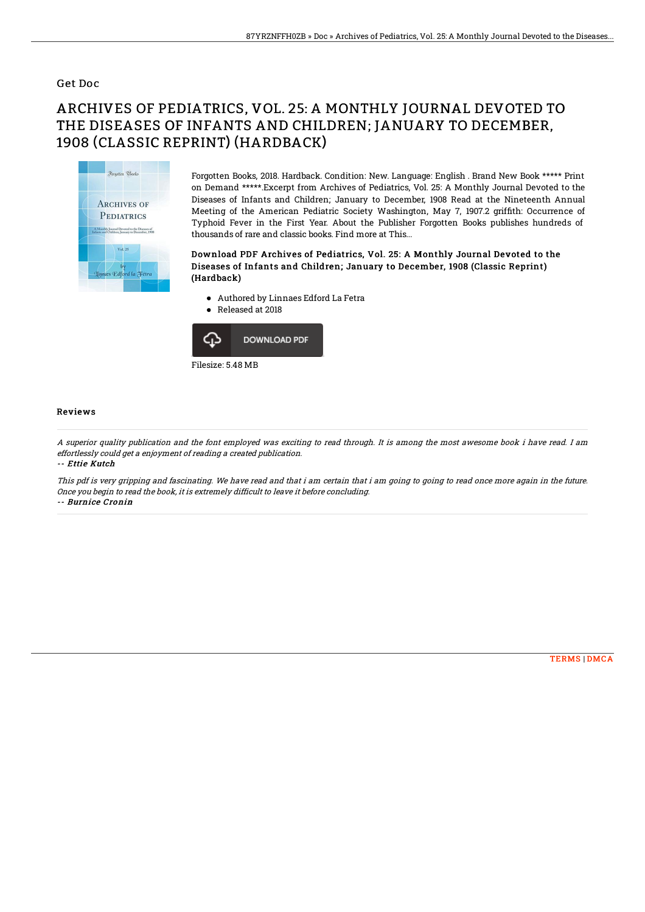### Get Doc

# ARCHIVES OF PEDIATRICS, VOL. 25: A MONTHLY JOURNAL DEVOTED TO THE DISEASES OF INFANTS AND CHILDREN; JANUARY TO DECEMBER, 1908 (CLASSIC REPRINT) (HARDBACK)



Forgotten Books, 2018. Hardback. Condition: New. Language: English . Brand New Book \*\*\*\*\* Print on Demand \*\*\*\*\*.Excerpt from Archives of Pediatrics, Vol. 25: A Monthly Journal Devoted to the Diseases of Infants and Children; January to December, 1908 Read at the Nineteenth Annual Meeting of the American Pediatric Society Washington, May 7, 1907.2 griffith: Occurrence of Typhoid Fever in the First Year. About the Publisher Forgotten Books publishes hundreds of thousands of rare and classic books. Find more at This...

#### Download PDF Archives of Pediatrics, Vol. 25: A Monthly Journal Devoted to the Diseases of Infants and Children; January to December, 1908 (Classic Reprint) (Hardback)

- Authored by Linnaes Edford La Fetra
- Released at 2018  $\bullet$



#### Reviews

A superior quality publication and the font employed was exciting to read through. It is among the most awesome book i have read. I am effortlessly could get <sup>a</sup> enjoyment of reading <sup>a</sup> created publication. -- Ettie Kutch

This pdf is very gripping and fascinating. We have read and that i am certain that i am going to going to read once more again in the future. Once you begin to read the book, it is extremely difficult to leave it before concluding.

-- Burnice Cronin